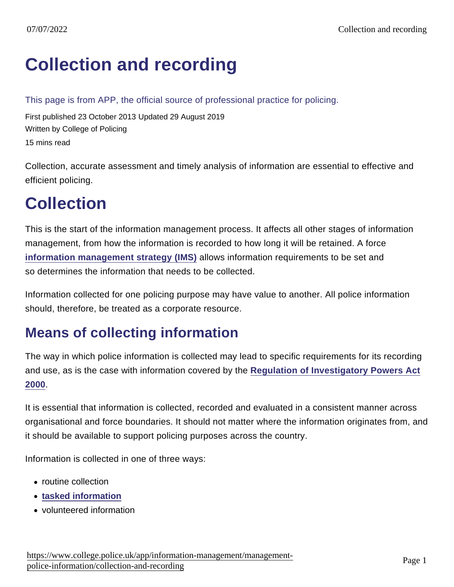# [Collection and recording](https://www.college.police.uk/app/information-management/management-police-information/collection-and-recording)

This page is from APP, the official source of professional practice for policing.

First published 23 October 2013 Updated 29 August 2019 Written by College of Policing 15 mins read

Collection, accurate assessment and timely analysis of information are essential to effective and efficient policing.

# **Collection**

This is the start of the information management process. It affects all other stages of information management, from how the information is recorded to how long it will be retained. A force [information management strategy \(IMS\)](https://www.app.college.police.uk/app-content/information-management/management-of-police-information/common-process/#information-management-strategy) allows information requirements to be set and so determines the information that needs to be collected.

Information collected for one policing purpose may have value to another. All police information should, therefore, be treated as a corporate resource.

### Means of collecting information

The way in which police information is collected may lead to specific requirements for its recording and use, as is the case with information covered by the [Regulation of Investigatory Powers Act](http://www.legislation.gov.uk/ukpga/2000/23/contents) [2000](http://www.legislation.gov.uk/ukpga/2000/23/contents).

It is essential that information is collected, recorded and evaluated in a consistent manner across organisational and force boundaries. It should not matter where the information originates from, and it should be available to support policing purposes across the country.

Information is collected in one of three ways:

- routine collection
- [tasked information](https://www.app.college.police.uk/app-content/intelligence-management/intelligence-cycle/#tasked-information)
- volunteered information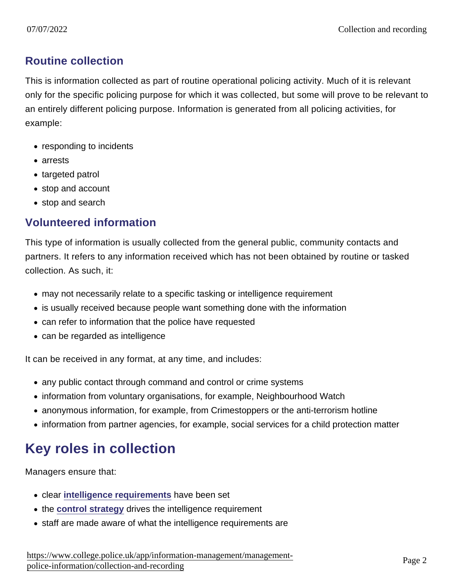#### Routine collection

This is information collected as part of routine operational policing activity. Much of it is relevant only for the specific policing purpose for which it was collected, but some will prove to be relevant to an entirely different policing purpose. Information is generated from all policing activities, for example:

- responding to incidents
- arrests
- targeted patrol
- stop and account
- stop and search

#### Volunteered information

This type of information is usually collected from the general public, community contacts and partners. It refers to any information received which has not been obtained by routine or tasked collection. As such, it:

- may not necessarily relate to a specific tasking or intelligence requirement
- is usually received because people want something done with the information
- can refer to information that the police have requested
- can be regarded as intelligence

It can be received in any format, at any time, and includes:

- any public contact through command and control or crime systems
- information from voluntary organisations, for example, Neighbourhood Watch
- anonymous information, for example, from Crimestoppers or the anti-terrorism hotline
- information from partner agencies, for example, social services for a child protection matter

## Key roles in collection

Managers ensure that:

- clear [intelligence requirements](https://www.app.college.police.uk/app-content/intelligence-management/governance/#intelligence-requirement) have been set
- the [control strategy](https://www.app.college.police.uk/app-content/intelligence-management/governance/#control-strategy) drives the intelligence requirement
- staff are made aware of what the intelligence requirements are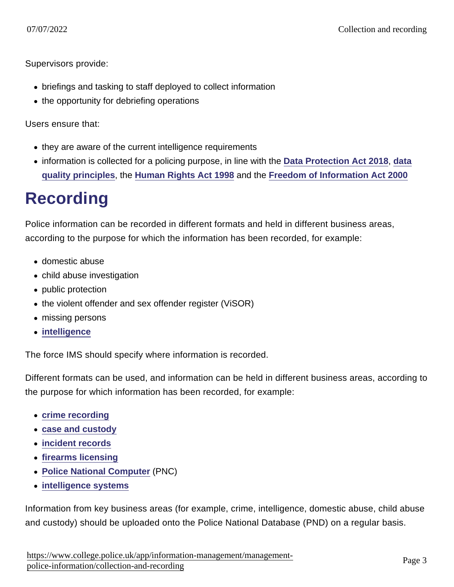Supervisors provide:

- briefings and tasking to staff deployed to collect information
- the opportunity for debriefing operations

Users ensure that:

- they are aware of the current intelligence requirements
- information is collected for a policing purpose, in line with the [Data Protection Act 2018](http://www.legislation.gov.uk/ukpga/2018/12/contents/enacted), [data](http://www.legislation.gov.uk/ukpga/2018/12/part/3/chapter/2/enacted) [quality principles](http://www.legislation.gov.uk/ukpga/2018/12/part/3/chapter/2/enacted) , the [Human Rights Act 1998](http://www.legislation.gov.uk/ukpga/1998/42/contents) and the [Freedom of Information Act 2000](http://www.legislation.gov.uk/ukpga/2000/36/contents)

# Recording

Police information can be recorded in different formats and held in different business areas, according to the purpose for which the information has been recorded, for example:

- domestic abuse
- child abuse investigation
- public protection
- the violent offender and sex offender register (ViSOR)
- missing persons
- [intelligence](https://www.app.college.police.uk/app-content/intelligence-management/)

The force IMS should specify where information is recorded.

Different formats can be used, and information can be held in different business areas, according to the purpose for which information has been recorded, for example:

- [crime recording](https://www.app.college.police.uk/app-content/information-management/management-of-police-information/collection-and-recording/#crime-recording)
- [case and custody](https://www.app.college.police.uk/app-content/information-management/management-of-police-information/collection-and-recording/#case-and-custody)
- [incident records](https://www.app.college.police.uk/app-content/information-management/management-of-police-information/collection-and-recording/#-incident-record)
- [firearms licensing](https://www.app.college.police.uk/app-content/information-management/management-of-police-information/collection-and-recording/#national-firearms-licensing-management-system)
- [Police National Computer](http://www.ukba.homeoffice.gov.uk/sitecontent/documents/policyandlaw/modernised/enforcement/11-criminal-financial/PNC?view=Binary) (PNC)
- [intelligence systems](https://www.app.college.police.uk/app-content/intelligence-management/governance/#intelligence-systems)

Information from key business areas (for example, crime, intelligence, domestic abuse, child abuse and custody) should be uploaded onto the Police National Database (PND) on a regular basis.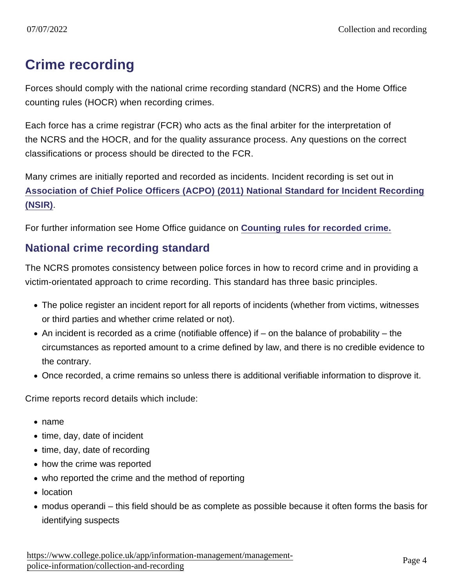## Crime recording

Forces should comply with the national crime recording standard (NCRS) and the Home Office counting rules (HOCR) when recording crimes.

Each force has a crime registrar (FCR) who acts as the final arbiter for the interpretation of the NCRS and the HOCR, and for the quality assurance process. Any questions on the correct classifications or process should be directed to the FCR.

Many crimes are initially reported and recorded as incidents. Incident recording is set out in [Association of Chief Police Officers \(ACPO\) \(2011\) National Standard for Incident Recording](https://www.gov.uk/government/uploads/system/uploads/attachment_data/file/116658/count-nsir11.pdf) [\(NSIR\).](https://www.gov.uk/government/uploads/system/uploads/attachment_data/file/116658/count-nsir11.pdf)

For further information see Home Office guidance on [Counting rules for recorded crime.](https://www.gov.uk/government/publications/counting-rules-for-recorded-crime)

#### National crime recording standard

The NCRS promotes consistency between police forces in how to record crime and in providing a victim-orientated approach to crime recording. This standard has three basic principles.

- The police register an incident report for all reports of incidents (whether from victims, witnesses or third parties and whether crime related or not).
- $\bullet$  An incident is recorded as a crime (notifiable offence) if on the balance of probability the circumstances as reported amount to a crime defined by law, and there is no credible evidence to the contrary.
- Once recorded, a crime remains so unless there is additional verifiable information to disprove it.

Crime reports record details which include:

- name
- time, day, date of incident
- $\bullet$  time, day, date of recording
- how the crime was reported
- who reported the crime and the method of reporting
- location
- modus operandi this field should be as complete as possible because it often forms the basis for identifying suspects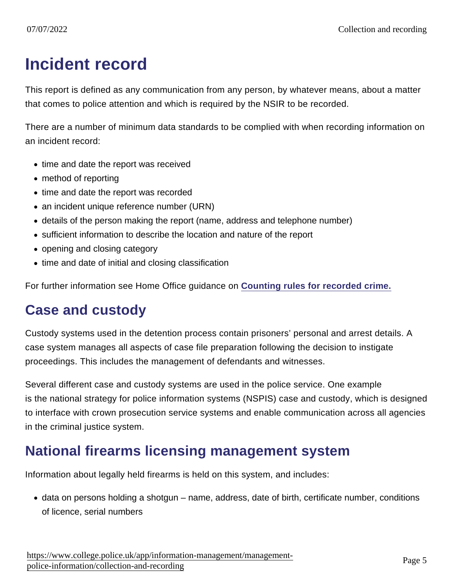# Incident record

This report is defined as any communication from any person, by whatever means, about a matter that comes to police attention and which is required by the NSIR to be recorded.

There are a number of minimum data standards to be complied with when recording information on an incident record:

- time and date the report was received
- method of reporting
- time and date the report was recorded
- an incident unique reference number (URN)
- details of the person making the report (name, address and telephone number)
- sufficient information to describe the location and nature of the report
- opening and closing category
- time and date of initial and closing classification

For further information see Home Office guidance on [Counting rules for recorded crime.](https://www.gov.uk/government/publications/counting-rules-for-recorded-crime)

### Case and custody

Custody systems used in the detention process contain prisoners' personal and arrest details. A case system manages all aspects of case file preparation following the decision to instigate proceedings. This includes the management of defendants and witnesses.

Several different case and custody systems are used in the police service. One example is the national strategy for police information systems (NSPIS) case and custody, which is designed to interface with crown prosecution service systems and enable communication across all agencies in the criminal justice system.

### National firearms licensing management system

Information about legally held firearms is held on this system, and includes:

data on persons holding a shotgun – name, address, date of birth, certificate number, conditions of licence, serial numbers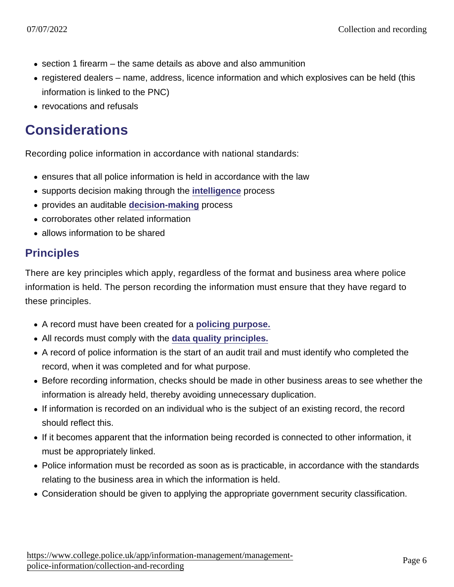- $\bullet$  section 1 firearm the same details as above and also ammunition
- registered dealers name, address, licence information and which explosives can be held (this information is linked to the PNC)
- revocations and refusals

### **Considerations**

Recording police information in accordance with national standards:

- ensures that all police information is held in accordance with the law
- supports decision making through the [intelligence](https://www.app.college.police.uk/app-content/intelligence-management/) process
- provides an auditable [decision-making](https://www.app.college.police.uk/app-content/the-national-decision-model/?s=) process
- corroborates other related information
- allows information to be shared

#### **Principles**

There are key principles which apply, regardless of the format and business area where police information is held. The person recording the information must ensure that they have regard to these principles.

- A record must have been created for a [policing purpose.](https://www.app.college.police.uk/app-content/intelligence-management/intelligence-cycle/#collection)
- All records must comply with the [data quality principles.](http://www.legislation.gov.uk/ukpga/2018/12/part/3/chapter/2/enacted)
- A record of police information is the start of an audit trail and must identify who completed the record, when it was completed and for what purpose.
- Before recording information, checks should be made in other business areas to see whether the information is already held, thereby avoiding unnecessary duplication.
- If information is recorded on an individual who is the subject of an existing record, the record should reflect this.
- If it becomes apparent that the information being recorded is connected to other information, it must be appropriately linked.
- Police information must be recorded as soon as is practicable, in accordance with the standards relating to the business area in which the information is held.
- Consideration should be given to applying the appropriate government security classification.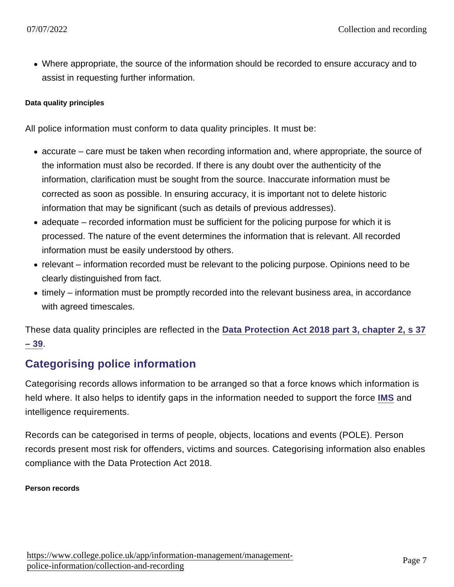Where appropriate, the source of the information should be recorded to ensure accuracy and to assist in requesting further information.

Data quality principles

All police information must conform to data quality principles. It must be:

- accurate care must be taken when recording information and, where appropriate, the source of the information must also be recorded. If there is any doubt over the authenticity of the information, clarification must be sought from the source. Inaccurate information must be corrected as soon as possible. In ensuring accuracy, it is important not to delete historic information that may be significant (such as details of previous addresses).
- adequate recorded information must be sufficient for the policing purpose for which it is processed. The nature of the event determines the information that is relevant. All recorded information must be easily understood by others.
- relevant information recorded must be relevant to the policing purpose. Opinions need to be clearly distinguished from fact.
- timely information must be promptly recorded into the relevant business area, in accordance with agreed timescales.

These data quality principles are reflected in the [Data Protection Act 2018 part 3, chapter 2, s 37](http://www.legislation.gov.uk/ukpga/2018/12/part/3/chapter/2/enacted) [– 39.](http://www.legislation.gov.uk/ukpga/2018/12/part/3/chapter/2/enacted)

#### Categorising police information

Categorising records allows information to be arranged so that a force knows which information is held where. It also helps to identify gaps in the information needed to support the force [IMS](https://www.app.college.police.uk/app-content/information-management/management-of-police-information/common-process/#information-management-strategy) and intelligence requirements.

Records can be categorised in terms of people, objects, locations and events (POLE). Person records present most risk for offenders, victims and sources. Categorising information also enables compliance with the Data Protection Act 2018.

Person records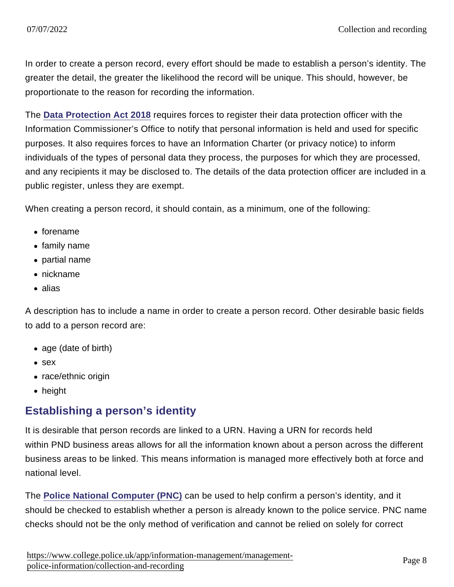In order to create a person record, every effort should be made to establish a person's identity. The greater the detail, the greater the likelihood the record will be unique. This should, however, be proportionate to the reason for recording the information.

The [Data Protection Act 2018](http://www.legislation.gov.uk/ukpga/2018/12/section/69) requires forces to register their data protection officer with the Information Commissioner's Office to notify that personal information is held and used for specific purposes. It also requires forces to have an Information Charter (or privacy notice) to inform individuals of the types of personal data they process, the purposes for which they are processed, and any recipients it may be disclosed to. The details of the data protection officer are included in a public register, unless they are exempt.

When creating a person record, it should contain, as a minimum, one of the following:

- forename
- family name
- partial name
- nickname
- alias

A description has to include a name in order to create a person record. Other desirable basic fields to add to a person record are:

- age (date of birth)
- sex
- race/ethnic origin
- height

#### Establishing a person's identity

It is desirable that person records are linked to a URN. Having a URN for records held within PND business areas allows for all the information known about a person across the different business areas to be linked. This means information is managed more effectively both at force and national level.

The [Police National Computer \(PNC\)](http://www.ukba.homeoffice.gov.uk/sitecontent/documents/policyandlaw/modernised/enforcement/11-criminal-financial/PNC?view=Binary) can be used to help confirm a person's identity, and it should be checked to establish whether a person is already known to the police service. PNC name checks should not be the only method of verification and cannot be relied on solely for correct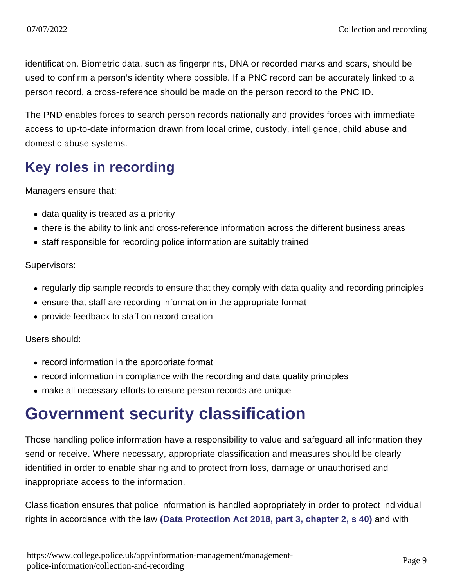identification. Biometric data, such as fingerprints, DNA or recorded marks and scars, should be used to confirm a person's identity where possible. If a PNC record can be accurately linked to a person record, a cross-reference should be made on the person record to the PNC ID.

The PND enables forces to search person records nationally and provides forces with immediate access to up-to-date information drawn from local crime, custody, intelligence, child abuse and domestic abuse systems.

## Key roles in recording

Managers ensure that:

- data quality is treated as a priority
- there is the ability to link and cross-reference information across the different business areas
- staff responsible for recording police information are suitably trained

Supervisors:

- regularly dip sample records to ensure that they comply with data quality and recording principles
- ensure that staff are recording information in the appropriate format
- provide feedback to staff on record creation

Users should:

- record information in the appropriate format
- record information in compliance with the recording and data quality principles
- make all necessary efforts to ensure person records are unique

# Government security classification

Those handling police information have a responsibility to value and safeguard all information they send or receive. Where necessary, appropriate classification and measures should be clearly identified in order to enable sharing and to protect from loss, damage or unauthorised and inappropriate access to the information.

Classification ensures that police information is handled appropriately in order to protect individual rights in accordance with the law [\(Data Protection Act 2018, part 3, chapter 2, s 40\)](http://www.legislation.gov.uk/ukpga/2018/12/section/40/enacted) and with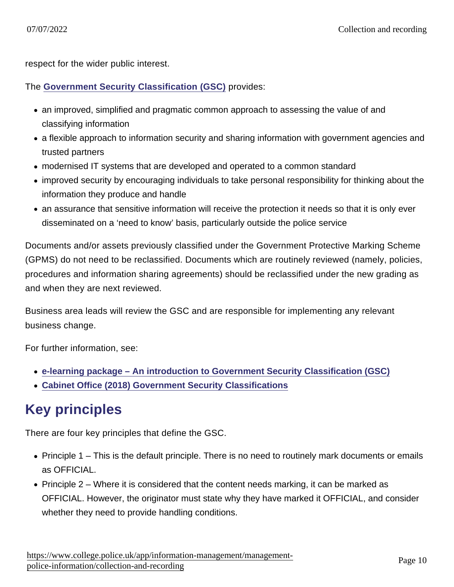respect for the wider public interest.

The [Government Security Classification \(GSC\)](https://assets.publishing.service.gov.uk/government/uploads/system/uploads/attachment_data/file/715778/May-2018_Government-Security-Classifications-2.pdf) provides:

- an improved, simplified and pragmatic common approach to assessing the value of and classifying information
- a flexible approach to information security and sharing information with government agencies and trusted partners
- modernised IT systems that are developed and operated to a common standard
- improved security by encouraging individuals to take personal responsibility for thinking about the information they produce and handle
- an assurance that sensitive information will receive the protection it needs so that it is only ever disseminated on a 'need to know' basis, particularly outside the police service

Documents and/or assets previously classified under the Government Protective Marking Scheme (GPMS) do not need to be reclassified. Documents which are routinely reviewed (namely, policies, procedures and information sharing agreements) should be reclassified under the new grading as and when they are next reviewed.

Business area leads will review the GSC and are responsible for implementing any relevant business change.

For further information, see:

- [e-learning package An introduction to Government Security Classification \(GSC\)](https://www.mle.ncalt.com/Course/Details/23891)
- [Cabinet Office \(2018\) Government Security Classifications](https://assets.publishing.service.gov.uk/government/uploads/system/uploads/attachment_data/file/715778/May-2018_Government-Security-Classifications-2.pdf)

## Key principles

There are four key principles that define the GSC.

- Principle 1 This is the default principle. There is no need to routinely mark documents or emails as OFFICIAL.
- Principle  $2$  Where it is considered that the content needs marking, it can be marked as OFFICIAL. However, the originator must state why they have marked it OFFICIAL, and consider whether they need to provide handling conditions.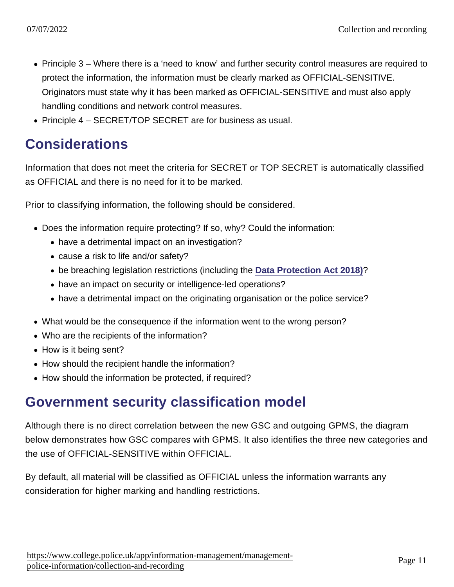- Principle 3 Where there is a 'need to know' and further security control measures are required to protect the information, the information must be clearly marked as OFFICIAL-SENSITIVE. Originators must state why it has been marked as OFFICIAL-SENSITIVE and must also apply handling conditions and network control measures.
- Principle 4 SECRET/TOP SECRET are for business as usual.

### Considerations

Information that does not meet the criteria for SECRET or TOP SECRET is automatically classified as OFFICIAL and there is no need for it to be marked.

Prior to classifying information, the following should be considered.

- Does the information require protecting? If so, why? Could the information:
	- have a detrimental impact on an investigation?
	- cause a risk to life and/or safety?
	- be breaching legislation restrictions (including the [Data Protection Act 2018\)](http://www.legislation.gov.uk/ukpga/2018/12/contents/enacted) ?
	- have an impact on security or intelligence-led operations?
	- have a detrimental impact on the originating organisation or the police service?
- What would be the consequence if the information went to the wrong person?
- Who are the recipients of the information?
- How is it being sent?
- How should the recipient handle the information?
- How should the information be protected, if required?

### Government security classification model

Although there is no direct correlation between the new GSC and outgoing GPMS, the diagram below demonstrates how GSC compares with GPMS. It also identifies the three new categories and the use of OFFICIAL-SENSITIVE within OFFICIAL.

By default, all material will be classified as OFFICIAL unless the information warrants any consideration for higher marking and handling restrictions.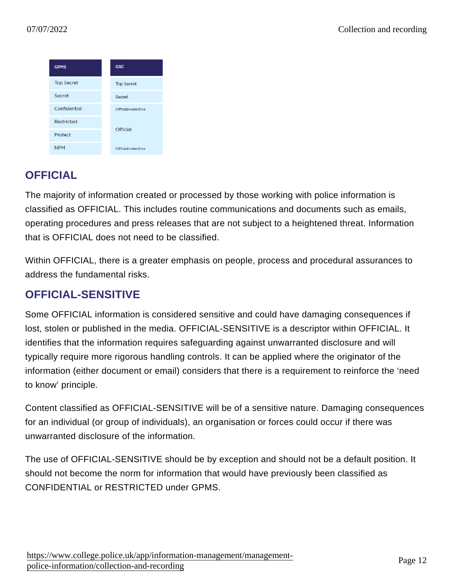#### **OFFICIAL**

The majority of information created or processed by those working with police information is classified as OFFICIAL. This includes routine communications and documents such as emails, operating procedures and press releases that are not subject to a heightened threat. Information that is OFFICIAL does not need to be classified.

Within OFFICIAL, there is a greater emphasis on people, process and procedural assurances to address the fundamental risks.

#### OFFICIAL-SENSITIVE

Some OFFICIAL information is considered sensitive and could have damaging consequences if lost, stolen or published in the media. OFFICIAL-SENSITIVE is a descriptor within OFFICIAL. It identifies that the information requires safeguarding against unwarranted disclosure and will typically require more rigorous handling controls. It can be applied where the originator of the information (either document or email) considers that there is a requirement to reinforce the 'need to know' principle.

Content classified as OFFICIAL-SENSITIVE will be of a sensitive nature. Damaging consequences for an individual (or group of individuals), an organisation or forces could occur if there was unwarranted disclosure of the information.

The use of OFFICIAL-SENSITIVE should be by exception and should not be a default position. It should not become the norm for information that would have previously been classified as CONFIDENTIAL or RESTRICTED under GPMS.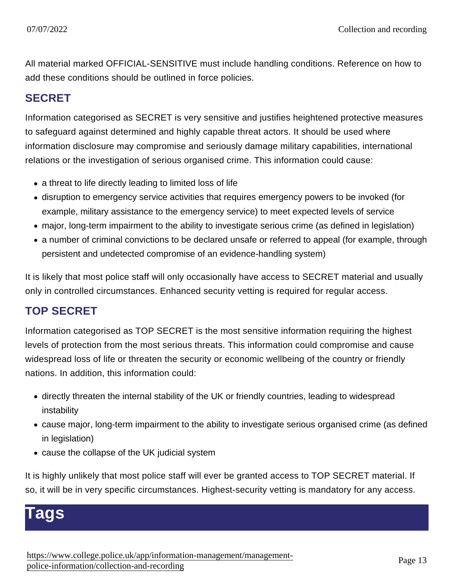All material marked OFFICIAL-SENSITIVE must include handling conditions. Reference on how to add these conditions should be outlined in force policies.

#### SECRET

Information categorised as SECRET is very sensitive and justifies heightened protective measures to safeguard against determined and highly capable threat actors. It should be used where information disclosure may compromise and seriously damage military capabilities, international relations or the investigation of serious organised crime. This information could cause:

- a threat to life directly leading to limited loss of life
- disruption to emergency service activities that requires emergency powers to be invoked (for example, military assistance to the emergency service) to meet expected levels of service
- major, long-term impairment to the ability to investigate serious crime (as defined in legislation)
- a number of criminal convictions to be declared unsafe or referred to appeal (for example, through persistent and undetected compromise of an evidence-handling system)

It is likely that most police staff will only occasionally have access to SECRET material and usually only in controlled circumstances. Enhanced security vetting is required for regular access.

#### TOP SECRET

Information categorised as TOP SECRET is the most sensitive information requiring the highest levels of protection from the most serious threats. This information could compromise and cause widespread loss of life or threaten the security or economic wellbeing of the country or friendly nations. In addition, this information could:

- directly threaten the internal stability of the UK or friendly countries, leading to widespread instability
- cause major, long-term impairment to the ability to investigate serious organised crime (as defined in legislation)
- cause the collapse of the UK judicial system

It is highly unlikely that most police staff will ever be granted access to TOP SECRET material. If so, it will be in very specific circumstances. Highest-security vetting is mandatory for any access.

## ags